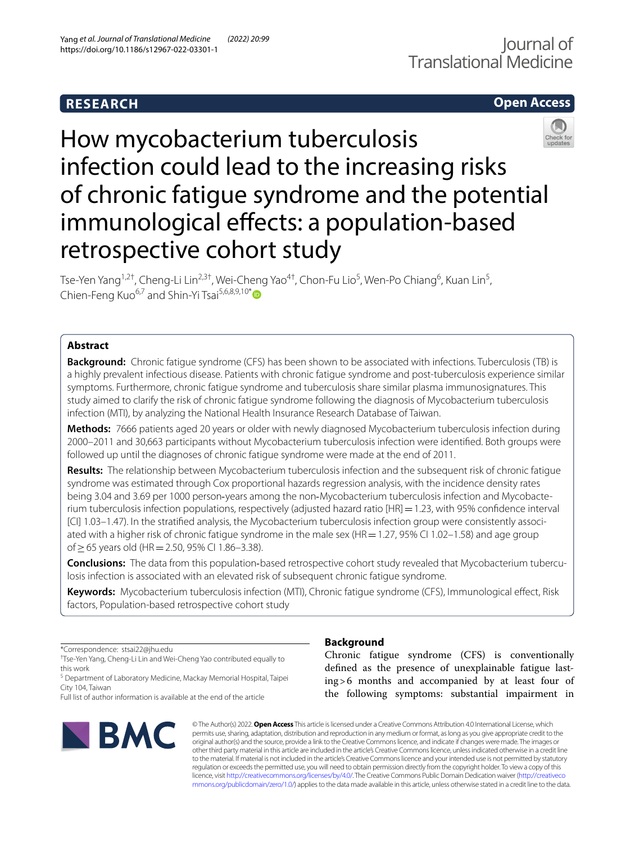# **RESEARCH**

# **Open Access**



How mycobacterium tuberculosis infection could lead to the increasing risks of chronic fatigue syndrome and the potential immunological effects: a population-based retrospective cohort study

Tse-Yen Yang<sup>1,2†</sup>, Cheng-Li Lin<sup>2,3†</sup>, Wei-Cheng Yao<sup>4†</sup>, Chon-Fu Lio<sup>5</sup>, Wen-Po Chiang<sup>6</sup>, Kuan Lin<sup>5</sup>, Chien-Feng Kuo<sup>6,7</sup> and Shin-Yi Tsai<sup>5,6,8,9,10[\\*](http://orcid.org/0000-0001-7978-778X)</sup>

## **Abstract**

**Background:** Chronic fatigue syndrome (CFS) has been shown to be associated with infections. Tuberculosis (TB) is a highly prevalent infectious disease. Patients with chronic fatigue syndrome and post-tuberculosis experience similar symptoms. Furthermore, chronic fatigue syndrome and tuberculosis share similar plasma immunosignatures. This study aimed to clarify the risk of chronic fatigue syndrome following the diagnosis of Mycobacterium tuberculosis infection (MTI), by analyzing the National Health Insurance Research Database of Taiwan.

**Methods:** 7666 patients aged 20 years or older with newly diagnosed Mycobacterium tuberculosis infection during 2000–2011 and 30,663 participants without Mycobacterium tuberculosis infection were identifed. Both groups were followed up until the diagnoses of chronic fatigue syndrome were made at the end of 2011.

**Results:** The relationship between Mycobacterium tuberculosis infection and the subsequent risk of chronic fatigue syndrome was estimated through Cox proportional hazards regression analysis, with the incidence density rates being 3.04 and 3.69 per 1000 person-years among the non-Mycobacterium tuberculosis infection and Mycobacterium tuberculosis infection populations, respectively (adjusted hazard ratio [HR]=1.23, with 95% confdence interval [CI] 1.03–1.47). In the stratified analysis, the Mycobacterium tuberculosis infection group were consistently associated with a higher risk of chronic fatigue syndrome in the male sex (HR = 1.27, 95% CI 1.02-1.58) and age group of≥65 years old (HR=2.50, 95% CI 1.86–3.38).

**Conclusions:** The data from this population-based retrospective cohort study revealed that Mycobacterium tuberculosis infection is associated with an elevated risk of subsequent chronic fatigue syndrome.

**Keywords:** Mycobacterium tuberculosis infection (MTI), Chronic fatigue syndrome (CFS), Immunological efect, Risk factors, Population-based retrospective cohort study

\*Correspondence: stsai22@jhu.edu

† Tse-Yen Yang, Cheng-Li Lin and Wei-Cheng Yao contributed equally to this work

<sup>5</sup> Department of Laboratory Medicine, Mackay Memorial Hospital, Taipei City 104, Taiwan

Full list of author information is available at the end of the article



## **Background**

Chronic fatigue syndrome (CFS) is conventionally defned as the presence of unexplainable fatigue lasting>6 months and accompanied by at least four of the following symptoms: substantial impairment in

© The Author(s) 2022. **Open Access** This article is licensed under a Creative Commons Attribution 4.0 International License, which permits use, sharing, adaptation, distribution and reproduction in any medium or format, as long as you give appropriate credit to the original author(s) and the source, provide a link to the Creative Commons licence, and indicate if changes were made. The images or other third party material in this article are included in the article's Creative Commons licence, unless indicated otherwise in a credit line to the material. If material is not included in the article's Creative Commons licence and your intended use is not permitted by statutory regulation or exceeds the permitted use, you will need to obtain permission directly from the copyright holder. To view a copy of this licence, visit [http://creativecommons.org/licenses/by/4.0/.](http://creativecommons.org/licenses/by/4.0/) The Creative Commons Public Domain Dedication waiver ([http://creativeco](http://creativecommons.org/publicdomain/zero/1.0/) [mmons.org/publicdomain/zero/1.0/](http://creativecommons.org/publicdomain/zero/1.0/)) applies to the data made available in this article, unless otherwise stated in a credit line to the data.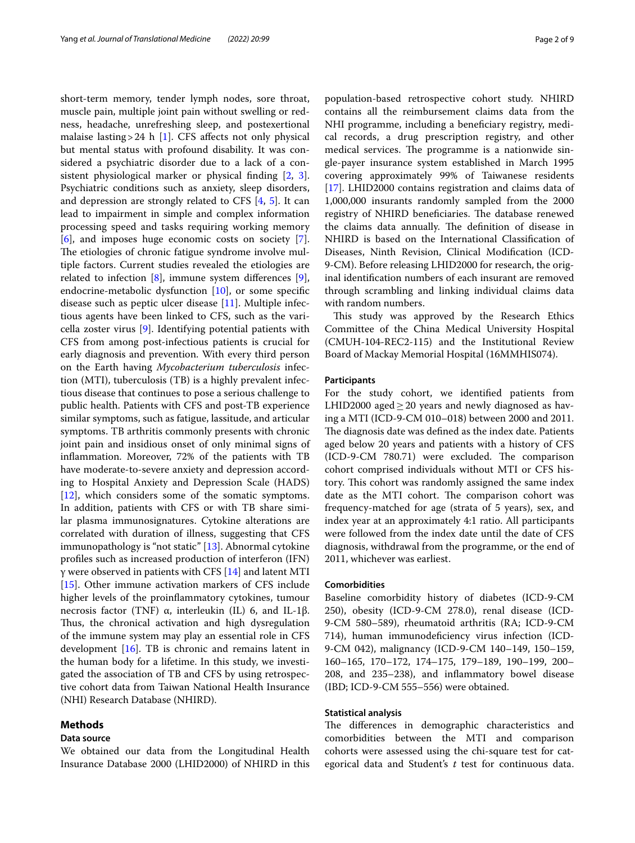short-term memory, tender lymph nodes, sore throat, muscle pain, multiple joint pain without swelling or redness, headache, unrefreshing sleep, and postexertional malaise lasting > 24 h [\[1](#page-7-0)]. CFS affects not only physical but mental status with profound disability. It was considered a psychiatric disorder due to a lack of a consistent physiological marker or physical fnding [\[2](#page-7-1), [3](#page-7-2)]. Psychiatric conditions such as anxiety, sleep disorders, and depression are strongly related to CFS [\[4](#page-7-3), [5\]](#page-7-4). It can lead to impairment in simple and complex information processing speed and tasks requiring working memory [[6\]](#page-7-5), and imposes huge economic costs on society [\[7](#page-7-6)]. The etiologies of chronic fatigue syndrome involve multiple factors. Current studies revealed the etiologies are related to infection [[8](#page-7-7)], immune system diferences [\[9](#page-7-8)], endocrine-metabolic dysfunction [[10\]](#page-7-9), or some specifc disease such as peptic ulcer disease [[11](#page-7-10)]. Multiple infectious agents have been linked to CFS, such as the varicella zoster virus [[9\]](#page-7-8). Identifying potential patients with CFS from among post-infectious patients is crucial for early diagnosis and prevention. With every third person on the Earth having *Mycobacterium tuberculosis* infection (MTI), tuberculosis (TB) is a highly prevalent infectious disease that continues to pose a serious challenge to public health. Patients with CFS and post-TB experience similar symptoms, such as fatigue, lassitude, and articular symptoms. TB arthritis commonly presents with chronic joint pain and insidious onset of only minimal signs of infammation. Moreover, 72% of the patients with TB have moderate-to-severe anxiety and depression according to Hospital Anxiety and Depression Scale (HADS) [[12\]](#page-7-11), which considers some of the somatic symptoms. In addition, patients with CFS or with TB share similar plasma immunosignatures. Cytokine alterations are correlated with duration of illness, suggesting that CFS immunopathology is "not static" [[13\]](#page-7-12). Abnormal cytokine profles such as increased production of interferon (IFN)  $γ$  were observed in patients with CFS [\[14](#page-7-13)] and latent MTI [[15\]](#page-7-14). Other immune activation markers of CFS include higher levels of the proinfammatory cytokines, tumour necrosis factor (TNF) α, interleukin (IL) 6, and IL-1β. Thus, the chronical activation and high dysregulation of the immune system may play an essential role in CFS development [\[16\]](#page-7-15). TB is chronic and remains latent in the human body for a lifetime. In this study, we investigated the association of TB and CFS by using retrospective cohort data from Taiwan National Health Insurance (NHI) Research Database (NHIRD).

## **Methods**

#### **Data source**

We obtained our data from the Longitudinal Health Insurance Database 2000 (LHID2000) of NHIRD in this

population-based retrospective cohort study. NHIRD contains all the reimbursement claims data from the NHI programme, including a beneficiary registry, medical records, a drug prescription registry, and other medical services. The programme is a nationwide single-payer insurance system established in March 1995 covering approximately 99% of Taiwanese residents [[17\]](#page-7-16). LHID2000 contains registration and claims data of 1,000,000 insurants randomly sampled from the 2000 registry of NHIRD beneficiaries. The database renewed the claims data annually. The definition of disease in NHIRD is based on the International Classifcation of Diseases, Ninth Revision, Clinical Modifcation (ICD-9-CM). Before releasing LHID2000 for research, the original identifcation numbers of each insurant are removed through scrambling and linking individual claims data with random numbers.

This study was approved by the Research Ethics Committee of the China Medical University Hospital (CMUH-104-REC2-115) and the Institutional Review Board of Mackay Memorial Hospital (16MMHIS074).

#### **Participants**

For the study cohort, we identifed patients from LHID2000 aged $\geq$ 20 years and newly diagnosed as having a MTI (ICD-9-CM 010–018) between 2000 and 2011. The diagnosis date was defined as the index date. Patients aged below 20 years and patients with a history of CFS (ICD-9-CM 780.71) were excluded. The comparison cohort comprised individuals without MTI or CFS history. This cohort was randomly assigned the same index date as the MTI cohort. The comparison cohort was frequency-matched for age (strata of 5 years), sex, and index year at an approximately 4:1 ratio. All participants were followed from the index date until the date of CFS diagnosis, withdrawal from the programme, or the end of 2011, whichever was earliest.

#### **Comorbidities**

Baseline comorbidity history of diabetes (ICD-9-CM 250), obesity (ICD-9-CM 278.0), renal disease (ICD-9-CM 580–589), rheumatoid arthritis (RA; ICD-9-CM 714), human immunodefciency virus infection (ICD-9-CM 042), malignancy (ICD-9-CM 140–149, 150–159, 160–165, 170–172, 174–175, 179–189, 190–199, 200– 208, and 235–238), and infammatory bowel disease (IBD; ICD-9-CM 555–556) were obtained.

### **Statistical analysis**

The differences in demographic characteristics and comorbidities between the MTI and comparison cohorts were assessed using the chi-square test for categorical data and Student's *t* test for continuous data.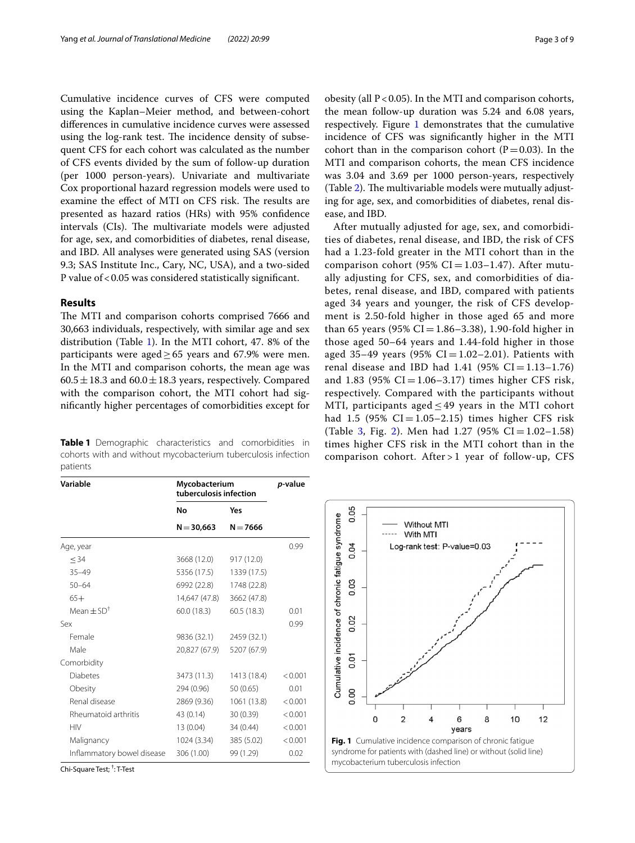Cumulative incidence curves of CFS were computed using the Kaplan–Meier method, and between-cohort diferences in cumulative incidence curves were assessed using the log-rank test. The incidence density of subsequent CFS for each cohort was calculated as the number of CFS events divided by the sum of follow-up duration (per 1000 person-years). Univariate and multivariate Cox proportional hazard regression models were used to examine the effect of MTI on CFS risk. The results are presented as hazard ratios (HRs) with 95% confdence intervals (CIs). The multivariate models were adjusted for age, sex, and comorbidities of diabetes, renal disease, and IBD. All analyses were generated using SAS (version 9.3; SAS Institute Inc., Cary, NC, USA), and a two-sided P value of <0.05 was considered statistically significant.

## **Results**

The MTI and comparison cohorts comprised 7666 and 30,663 individuals, respectively, with similar age and sex distribution (Table [1](#page-2-0)). In the MTI cohort, 47. 8% of the participants were aged  $\geq$  65 years and 67.9% were men. In the MTI and comparison cohorts, the mean age was  $60.5 \pm 18.3$  and  $60.0 \pm 18.3$  years, respectively. Compared with the comparison cohort, the MTI cohort had signifcantly higher percentages of comorbidities except for

<span id="page-2-0"></span>**Table 1** Demographic characteristics and comorbidities in cohorts with and without mycobacterium tuberculosis infection patients

obesity (all  $P < 0.05$ ). In the MTI and comparison cohorts, the mean follow-up duration was 5.24 and 6.08 years, respectively. Figure [1](#page-2-1) demonstrates that the cumulative incidence of CFS was signifcantly higher in the MTI cohort than in the comparison cohort ( $P=0.03$ ). In the MTI and comparison cohorts, the mean CFS incidence was 3.04 and 3.69 per 1000 person-years, respectively (Table  $2$ ). The multivariable models were mutually adjusting for age, sex, and comorbidities of diabetes, renal disease, and IBD.

After mutually adjusted for age, sex, and comorbidities of diabetes, renal disease, and IBD, the risk of CFS had a 1.23-fold greater in the MTI cohort than in the comparison cohort (95%  $CI = 1.03 - 1.47$ ). After mutually adjusting for CFS, sex, and comorbidities of diabetes, renal disease, and IBD, compared with patients aged 34 years and younger, the risk of CFS development is 2.50-fold higher in those aged 65 and more than 65 years (95% CI = 1.86–3.38), 1.90-fold higher in those aged 50–64 years and 1.44-fold higher in those aged 35-49 years (95%  $CI = 1.02 - 2.01$ ). Patients with renal disease and IBD had  $1.41$  (95% CI = 1.13–1.76) and 1.83 (95%  $CI = 1.06 - 3.17$ ) times higher CFS risk, respectively. Compared with the participants without MTI, participants aged  $\leq$  49 years in the MTI cohort had 1.5 (95%  $CI = 1.05 - 2.15$ ) times higher CFS risk (Table [3,](#page-4-0) Fig. [2](#page-4-1)). Men had  $1.27$  (95% CI =  $1.02-1.58$ ) times higher CFS risk in the MTI cohort than in the comparison cohort. After > 1 year of follow-up, CFS

| Variable                   | Mycobacterium<br>tuberculosis infection | p-value     |         |
|----------------------------|-----------------------------------------|-------------|---------|
|                            | No                                      | Yes         |         |
|                            | $N = 30,663$                            | $N = 7666$  |         |
| Age, year                  |                                         |             | 0.99    |
| < 34                       | 3668 (12.0)                             | 917 (12.0)  |         |
| $35 - 49$                  | 5356 (17.5)                             | 1339 (17.5) |         |
| $50 - 64$                  | 6992 (22.8)                             | 1748 (22.8) |         |
| $65+$                      | 14,647 (47.8)                           | 3662 (47.8) |         |
| Mean $\pm$ SD <sup>†</sup> | 60.0(18.3)                              | 60.5(18.3)  | 0.01    |
| Sex                        |                                         |             | 0.99    |
| Female                     | 9836 (32.1)                             | 2459 (32.1) |         |
| Male                       | 20,827 (67.9)                           | 5207 (67.9) |         |
| Comorbidity                |                                         |             |         |
| <b>Diabetes</b>            | 3473 (11.3)                             | 1413 (18.4) | < 0.001 |
| Obesity                    | 294 (0.96)                              | 50 (0.65)   | 0.01    |
| Renal disease              | 2869 (9.36)                             | 1061 (13.8) | < 0.001 |
| Rheumatoid arthritis       | 43 (0.14)                               | 30 (0.39)   | < 0.001 |
| <b>HIV</b>                 | 13 (0.04)                               | 34 (0.44)   | < 0.001 |
| Malignancy                 | 1024 (3.34)                             | 385 (5.02)  | < 0.001 |
| Inflammatory bowel disease | 306 (1.00)                              | 99 (1.29)   | 0.02    |

Chi-Square Test; † : T-Test

<span id="page-2-1"></span>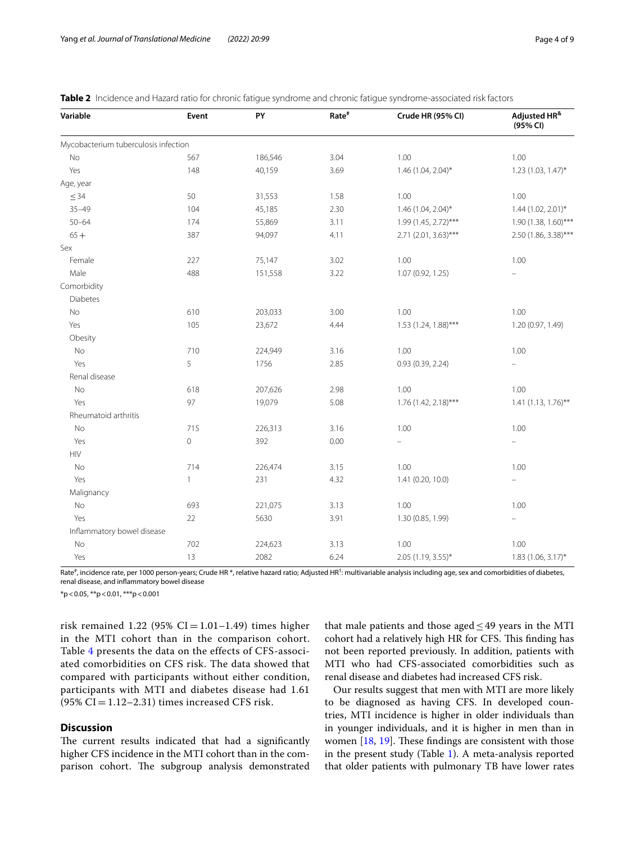| Variable                                                        | Event        | PY      | Rate <sup>#</sup> | Crude HR (95% CI)      | Adjusted HR <sup>&amp;</sup><br>(95% CI) |
|-----------------------------------------------------------------|--------------|---------|-------------------|------------------------|------------------------------------------|
| Mycobacterium tuberculosis infection                            |              |         |                   |                        |                                          |
| No                                                              | 567          | 186,546 | 3.04              | 1.00                   | 1.00                                     |
| Yes                                                             | 148          | 40,159  | 3.69              | $1.46$ (1.04, 2.04)*   | 1.23 (1.03, 1.47)*                       |
| Age, year                                                       |              |         |                   |                        |                                          |
| $\leq$ 34                                                       | 50           | 31,553  | 1.58              | 1.00                   | 1.00                                     |
| $35 - 49$                                                       | 104          | 45,185  | 2.30              | 1.46 (1.04, 2.04)*     | 1.44 (1.02, 2.01)*                       |
| $50 - 64$                                                       | 174          | 55,869  | 3.11              | 1.99 (1.45, 2.72)***   | 1.90 (1.38, 1.60)***                     |
| $65 +$                                                          | 387          | 94,097  | 4.11              | 2.71 (2.01, 3.63)***   | 2.50 (1.86, 3.38)***                     |
| Sex                                                             |              |         |                   |                        |                                          |
| Female                                                          | 227          | 75,147  | 3.02              | 1.00                   | 1.00                                     |
| Male                                                            | 488          | 151,558 | 3.22              | 1.07 (0.92, 1.25)      |                                          |
| Comorbidity                                                     |              |         |                   |                        |                                          |
| <b>Diabetes</b>                                                 |              |         |                   |                        |                                          |
| No                                                              | 610          | 203,033 | 3.00              | 1.00                   | 1.00                                     |
| Yes                                                             | 105          | 23,672  | 4.44              | $1.53$ (1.24, 1.88)*** | 1.20 (0.97, 1.49)                        |
| Obesity                                                         |              |         |                   |                        |                                          |
| No                                                              | 710          | 224,949 | 3.16              | 1.00                   | 1.00                                     |
| Yes                                                             | 5            | 1756    | 2.85              | 0.93(0.39, 2.24)       | $\overline{\phantom{0}}$                 |
| Renal disease                                                   |              |         |                   |                        |                                          |
| No                                                              | 618          | 207,626 | 2.98              | 1.00                   | 1.00                                     |
| Yes                                                             | 97           | 19,079  | 5.08              | 1.76 (1.42, 2.18)***   | $1.41(1.13, 1.76)$ **                    |
| Rheumatoid arthritis                                            |              |         |                   |                        |                                          |
| No                                                              | 715          | 226,313 | 3.16              | 1.00                   | 1.00                                     |
| Yes                                                             | 0            | 392     | 0.00              |                        | $\equiv$                                 |
| $\ensuremath{\mathsf{H}}\xspace\ensuremath{\mathsf{IV}}\xspace$ |              |         |                   |                        |                                          |
| No                                                              | 714          | 226,474 | 3.15              | 1.00                   | 1.00                                     |
| Yes                                                             | $\mathbf{1}$ | 231     | 4.32              | 1.41 (0.20, 10.0)      |                                          |
| Malignancy                                                      |              |         |                   |                        |                                          |
| No                                                              | 693          | 221,075 | 3.13              | 1.00                   | 1.00                                     |
| Yes                                                             | 22           | 5630    | 3.91              | 1.30 (0.85, 1.99)      | $\equiv$                                 |
| Inflammatory bowel disease                                      |              |         |                   |                        |                                          |
| No                                                              | 702          | 224,623 | 3.13              | 1.00                   | 1.00                                     |
| Yes                                                             | 13           | 2082    | 6.24              | 2.05 (1.19, 3.55)*     | $1.83$ (1.06, 3.17)*                     |

<span id="page-3-0"></span>

|  |  |  |  |  | Table 2 Incidence and Hazard ratio for chronic fatigue syndrome and chronic fatigue syndrome-associated risk factors |  |  |
|--|--|--|--|--|----------------------------------------------------------------------------------------------------------------------|--|--|
|--|--|--|--|--|----------------------------------------------------------------------------------------------------------------------|--|--|

Rate<sup>#</sup>, incidence rate, per 1000 person-years; Crude HR \*, relative hazard ratio; Adjusted HR<sup>†</sup>: multivariable analysis including age, sex and comorbidities of diabetes, renal disease, and infammatory bowel disease

 $*p$  < 0.05,  $*p$  < 0.01,  $***p$  < 0.001

risk remained 1.22 (95%  $CI = 1.01 - 1.49$ ) times higher in the MTI cohort than in the comparison cohort. Table [4](#page-5-0) presents the data on the effects of CFS-associated comorbidities on CFS risk. The data showed that compared with participants without either condition, participants with MTI and diabetes disease had 1.61  $(95\% \text{ CI} = 1.12 - 2.31)$  times increased CFS risk.

## **Discussion**

The current results indicated that had a significantly higher CFS incidence in the MTI cohort than in the comparison cohort. The subgroup analysis demonstrated

that male patients and those aged  $\leq$  49 years in the MTI cohort had a relatively high HR for CFS. This finding has not been reported previously. In addition, patients with MTI who had CFS-associated comorbidities such as renal disease and diabetes had increased CFS risk.

Our results suggest that men with MTI are more likely to be diagnosed as having CFS. In developed countries, MTI incidence is higher in older individuals than in younger individuals, and it is higher in men than in women  $[18, 19]$  $[18, 19]$  $[18, 19]$  $[18, 19]$ . These findings are consistent with those in the present study (Table [1\)](#page-2-0). A meta-analysis reported that older patients with pulmonary TB have lower rates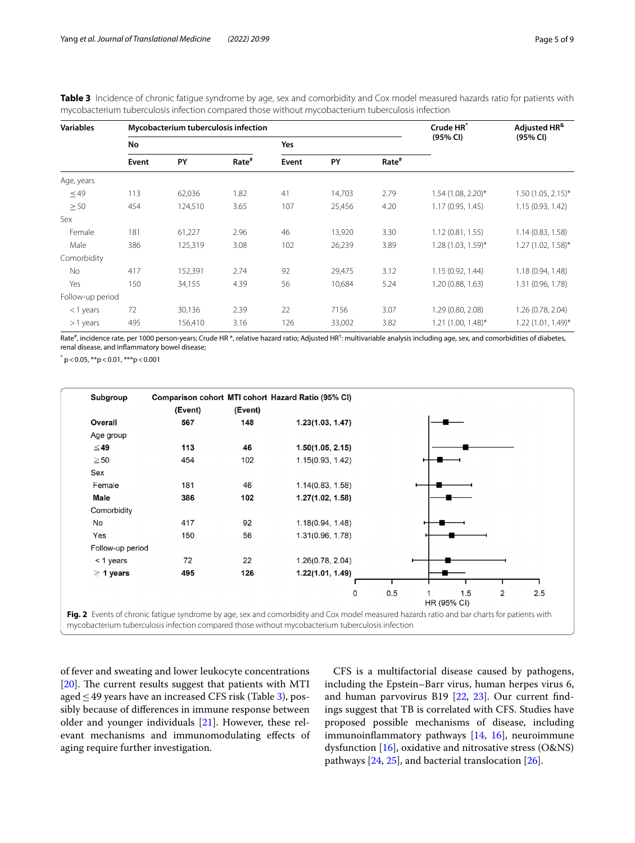| <b>Variables</b> |       | Mycobacterium tuberculosis infection |                   | Crude HR* | Adjusted HR <sup>&amp;</sup> |                   |                      |                        |
|------------------|-------|--------------------------------------|-------------------|-----------|------------------------------|-------------------|----------------------|------------------------|
|                  | No    |                                      |                   |           |                              |                   | (95% CI)             | (95% CI)               |
|                  | Event | PY                                   | Rate <sup>#</sup> | Event     | PY                           | Rate <sup>#</sup> |                      |                        |
| Age, years       |       |                                      |                   |           |                              |                   |                      |                        |
| $\leq$ 49        | 113   | 62,036                               | 1.82              | 41        | 14,703                       | 2.79              | 1.54 (1.08, 2.20)*   | $1.50(1.05, 2.15)^{*}$ |
| $\geq 50$        | 454   | 124,510                              | 3.65              | 107       | 25,456                       | 4.20              | 1.17(0.95, 1.45)     | 1.15 (0.93, 1.42)      |
| Sex              |       |                                      |                   |           |                              |                   |                      |                        |
| Female           | 181   | 61,227                               | 2.96              | 46        | 13,920                       | 3.30              | 1.12(0.81, 1.55)     | 1.14(0.83, 1.58)       |
| Male             | 386   | 125,319                              | 3.08              | 102       | 26,239                       | 3.89              | 1.28 (1.03, 1.59)*   | $1.27(1.02, 1.58)$ *   |
| Comorbidity      |       |                                      |                   |           |                              |                   |                      |                        |
| <b>No</b>        | 417   | 152,391                              | 2.74              | 92        | 29,475                       | 3.12              | 1.15(0.92, 1.44)     | 1.18 (0.94, 1.48)      |
| Yes              | 150   | 34,155                               | 4.39              | 56        | 10,684                       | 5.24              | 1.20 (0.88, 1.63)    | 1.31 (0.96, 1.78)      |
| Follow-up period |       |                                      |                   |           |                              |                   |                      |                        |
| <1 years         | 72    | 30,136                               | 2.39              | 22        | 7156                         | 3.07              | 1.29 (0.80, 2.08)    | 1.26 (0.78, 2.04)      |
| $>1$ years       | 495   | 156,410                              | 3.16              | 126       | 33,002                       | 3.82              | $1.21$ (1.00, 1.48)* | 1.22 (1.01, 1.49)*     |

<span id="page-4-0"></span>**Table 3** Incidence of chronic fatigue syndrome by age, sex and comorbidity and Cox model measured hazards ratio for patients with mycobacterium tuberculosis infection compared those without mycobacterium tuberculosis infection

Rate<sup>#</sup>, incidence rate, per 1000 person-years; Crude HR \*, relative hazard ratio; Adjusted HR<sup>†</sup>: multivariable analysis including age, sex, and comorbidities of diabetes, renal disease, and infammatory bowel disease;

 $p^*$  p < 0.05, \*\*p < 0.01, \*\*\*p < 0.001



<span id="page-4-1"></span>of fever and sweating and lower leukocyte concentrations [ $20$ ]. The current results suggest that patients with MTI aged  $\leq$  49 years have an increased CFS risk (Table [3\)](#page-4-0), possibly because of diferences in immune response between older and younger individuals [[21\]](#page-7-20). However, these relevant mechanisms and immunomodulating efects of aging require further investigation.

CFS is a multifactorial disease caused by pathogens, including the Epstein–Barr virus, human herpes virus 6, and human parvovirus B19 [[22,](#page-7-21) [23\]](#page-7-22). Our current fndings suggest that TB is correlated with CFS. Studies have proposed possible mechanisms of disease, including immunoinfammatory pathways [[14,](#page-7-13) [16\]](#page-7-15), neuroimmune dysfunction  $[16]$  $[16]$ , oxidative and nitrosative stress (O&NS) pathways [\[24,](#page-7-23) [25](#page-7-24)], and bacterial translocation [[26](#page-7-25)].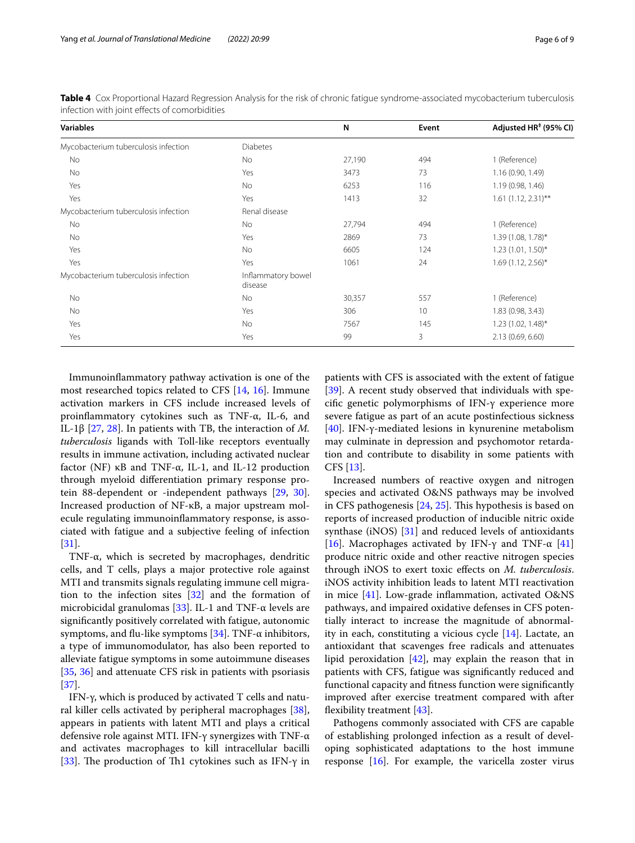| <b>Variables</b>                     |                               | N      | Event | Adjusted HR <sup>#</sup> (95% CI) |
|--------------------------------------|-------------------------------|--------|-------|-----------------------------------|
| Mycobacterium tuberculosis infection | <b>Diabetes</b>               |        |       |                                   |
| No                                   | No                            | 27,190 | 494   | 1 (Reference)                     |
| No                                   | Yes                           | 3473   | 73    | 1.16(0.90, 1.49)                  |
| Yes                                  | No                            | 6253   | 116   | 1.19 (0.98, 1.46)                 |
| Yes                                  | Yes                           | 1413   | 32    | $1.61$ (1.12, 2.31)**             |
| Mycobacterium tuberculosis infection | Renal disease                 |        |       |                                   |
| No                                   | No                            | 27,794 | 494   | 1 (Reference)                     |
| No                                   | Yes                           | 2869   | 73    | 1.39 (1.08, 1.78)*                |
| Yes                                  | No.                           | 6605   | 124   | $1.23(1.01, 1.50)$ *              |
| Yes                                  | Yes                           | 1061   | 24    | $1.69(1.12, 2.56)$ *              |
| Mycobacterium tuberculosis infection | Inflammatory bowel<br>disease |        |       |                                   |
| No                                   | No                            | 30,357 | 557   | 1 (Reference)                     |
| No.                                  | Yes                           | 306    | 10    | 1.83 (0.98, 3.43)                 |
| Yes                                  | No.                           | 7567   | 145   | $1.23$ (1.02, 1.48)*              |
| Yes                                  | Yes                           | 99     | 3     | 2.13(0.69, 6.60)                  |

<span id="page-5-0"></span>**Table 4** Cox Proportional Hazard Regression Analysis for the risk of chronic fatigue syndrome-associated mycobacterium tuberculosis infection with joint efects of comorbidities

Immunoinfammatory pathway activation is one of the most researched topics related to CFS [[14,](#page-7-13) [16](#page-7-15)]. Immune activation markers in CFS include increased levels of proinfammatory cytokines such as TNF-α, IL-6, and IL-1β [\[27](#page-7-26), [28](#page-7-27)]. In patients with TB, the interaction of *M. tuberculosis* ligands with Toll-like receptors eventually results in immune activation, including activated nuclear factor (NF) κB and TNF-α, IL-1, and IL-12 production through myeloid diferentiation primary response protein 88-dependent or -independent pathways [\[29](#page-7-28), [30](#page-7-29)]. Increased production of NF-κB, a major upstream molecule regulating immunoinfammatory response, is associated with fatigue and a subjective feeling of infection [[31\]](#page-7-30).

TNF-α, which is secreted by macrophages, dendritic cells, and T cells, plays a major protective role against MTI and transmits signals regulating immune cell migration to the infection sites [[32\]](#page-7-31) and the formation of microbicidal granulomas [\[33\]](#page-7-32). IL-1 and TNF- $\alpha$  levels are signifcantly positively correlated with fatigue, autonomic symptoms, and flu-like symptoms  $[34]$ . TNF-α inhibitors, a type of immunomodulator, has also been reported to alleviate fatigue symptoms in some autoimmune diseases [[35,](#page-7-34) [36\]](#page-7-35) and attenuate CFS risk in patients with psoriasis [[37\]](#page-7-36).

IFN-γ, which is produced by activated T cells and natural killer cells activated by peripheral macrophages [\[38](#page-8-0)], appears in patients with latent MTI and plays a critical defensive role against MTI. IFN-γ synergizes with TNF-α and activates macrophages to kill intracellular bacilli [[33\]](#page-7-32). The production of Th1 cytokines such as IFN- $\gamma$  in patients with CFS is associated with the extent of fatigue [[39\]](#page-8-1). A recent study observed that individuals with specifc genetic polymorphisms of IFN-γ experience more severe fatigue as part of an acute postinfectious sickness [[40\]](#page-8-2). IFN-γ-mediated lesions in kynurenine metabolism may culminate in depression and psychomotor retardation and contribute to disability in some patients with CFS [\[13](#page-7-12)].

Increased numbers of reactive oxygen and nitrogen species and activated O&NS pathways may be involved in CFS pathogenesis [[24,](#page-7-23) [25](#page-7-24)]. This hypothesis is based on reports of increased production of inducible nitric oxide synthase (iNOS)  $[31]$  $[31]$  and reduced levels of antioxidants [[16\]](#page-7-15). Macrophages activated by IFN- $\gamma$  and TNF- $\alpha$  [[41](#page-8-3)] produce nitric oxide and other reactive nitrogen species through iNOS to exert toxic efects on *M. tuberculosis*. iNOS activity inhibition leads to latent MTI reactivation in mice [[41\]](#page-8-3). Low-grade infammation, activated O&NS pathways, and impaired oxidative defenses in CFS potentially interact to increase the magnitude of abnormality in each, constituting a vicious cycle [\[14](#page-7-13)]. Lactate, an antioxidant that scavenges free radicals and attenuates lipid peroxidation [[42\]](#page-8-4), may explain the reason that in patients with CFS, fatigue was signifcantly reduced and functional capacity and ftness function were signifcantly improved after exercise treatment compared with after flexibility treatment  $[43]$  $[43]$ .

Pathogens commonly associated with CFS are capable of establishing prolonged infection as a result of developing sophisticated adaptations to the host immune response  $[16]$  $[16]$  $[16]$ . For example, the varicella zoster virus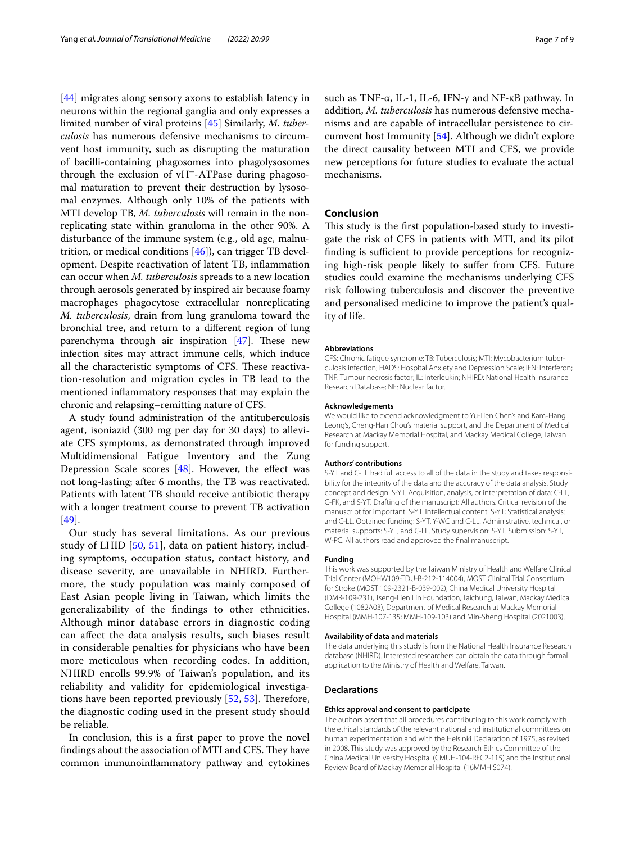[[44\]](#page-8-6) migrates along sensory axons to establish latency in neurons within the regional ganglia and only expresses a limited number of viral proteins [[45\]](#page-8-7) Similarly, *M. tuberculosis* has numerous defensive mechanisms to circumvent host immunity, such as disrupting the maturation of bacilli-containing phagosomes into phagolysosomes through the exclusion of  $vH^+$ -ATPase during phagosomal maturation to prevent their destruction by lysosomal enzymes. Although only 10% of the patients with MTI develop TB, *M. tuberculosis* will remain in the nonreplicating state within granuloma in the other 90%. A disturbance of the immune system (e.g., old age, malnutrition, or medical conditions [[46\]](#page-8-8)), can trigger TB development. Despite reactivation of latent TB, infammation can occur when *M. tuberculosis* spreads to a new location through aerosols generated by inspired air because foamy macrophages phagocytose extracellular nonreplicating *M. tuberculosis*, drain from lung granuloma toward the bronchial tree, and return to a diferent region of lung parenchyma through air inspiration  $[47]$  $[47]$ . These new infection sites may attract immune cells, which induce all the characteristic symptoms of CFS. These reactivation-resolution and migration cycles in TB lead to the mentioned infammatory responses that may explain the chronic and relapsing–remitting nature of CFS.

A study found administration of the antituberculosis agent, isoniazid (300 mg per day for 30 days) to alleviate CFS symptoms, as demonstrated through improved Multidimensional Fatigue Inventory and the Zung Depression Scale scores  $[48]$  $[48]$ . However, the effect was not long-lasting; after 6 months, the TB was reactivated. Patients with latent TB should receive antibiotic therapy with a longer treatment course to prevent TB activation [[49\]](#page-8-11).

Our study has several limitations. As our previous study of LHID [\[50](#page-8-12), [51\]](#page-8-13), data on patient history, including symptoms, occupation status, contact history, and disease severity, are unavailable in NHIRD. Furthermore, the study population was mainly composed of East Asian people living in Taiwan, which limits the generalizability of the fndings to other ethnicities. Although minor database errors in diagnostic coding can afect the data analysis results, such biases result in considerable penalties for physicians who have been more meticulous when recording codes. In addition, NHIRD enrolls 99.9% of Taiwan's population, and its reliability and validity for epidemiological investigations have been reported previously  $[52, 53]$  $[52, 53]$  $[52, 53]$  $[52, 53]$  $[52, 53]$ . Therefore, the diagnostic coding used in the present study should be reliable.

In conclusion, this is a frst paper to prove the novel findings about the association of MTI and CFS. They have common immunoinfammatory pathway and cytokines such as TNF-α, IL-1, IL-6, IFN-γ and NF-κB pathway. In addition, *M. tuberculosis* has numerous defensive mechanisms and are capable of intracellular persistence to circumvent host Immunity [[54](#page-8-16)]. Although we didn't explore the direct causality between MTI and CFS, we provide new perceptions for future studies to evaluate the actual mechanisms.

## **Conclusion**

This study is the first population-based study to investigate the risk of CFS in patients with MTI, and its pilot finding is sufficient to provide perceptions for recognizing high-risk people likely to sufer from CFS. Future studies could examine the mechanisms underlying CFS risk following tuberculosis and discover the preventive and personalised medicine to improve the patient's quality of life.

#### **Abbreviations**

CFS: Chronic fatigue syndrome; TB: Tuberculosis; MTI: Mycobacterium tuberculosis infection; HADS: Hospital Anxiety and Depression Scale; IFN: Interferon; TNF: Tumour necrosis factor; IL: Interleukin; NHIRD: National Health Insurance Research Database; NF: Nuclear factor.

#### **Acknowledgements**

We would like to extend acknowledgment to Yu-Tien Chen's and Kam‐Hang Leong's, Cheng-Han Chou's material support, and the Department of Medical Research at Mackay Memorial Hospital, and Mackay Medical College, Taiwan for funding support.

#### **Authors' contributions**

S-YT and C-LL had full access to all of the data in the study and takes responsibility for the integrity of the data and the accuracy of the data analysis. Study concept and design: S-YT. Acquisition, analysis, or interpretation of data: C-LL, C-FK, and S-YT. Drafting of the manuscript: All authors. Critical revision of the manuscript for important: S-YT. Intellectual content: S-YT; Statistical analysis: and C-LL. Obtained funding: S-YT, Y-WC and C-LL. Administrative, technical, or material supports: S-YT, and C-LL. Study supervision: S-YT. Submission: S-YT, W-PC. All authors read and approved the fnal manuscript.

#### **Funding**

This work was supported by the Taiwan Ministry of Health and Welfare Clinical Trial Center (MOHW109-TDU-B-212-114004), MOST Clinical Trial Consortium for Stroke (MOST 109-2321-B-039-002), China Medical University Hospital (DMR-109-231), Tseng-Lien Lin Foundation, Taichung, Taiwan, Mackay Medical College (1082A03), Department of Medical Research at Mackay Memorial Hospital (MMH-107-135; MMH-109-103) and Min-Sheng Hospital (2021003).

#### **Availability of data and materials**

The data underlying this study is from the National Health Insurance Research database (NHIRD). Interested researchers can obtain the data through formal application to the Ministry of Health and Welfare, Taiwan.

#### **Declarations**

#### **Ethics approval and consent to participate**

The authors assert that all procedures contributing to this work comply with the ethical standards of the relevant national and institutional committees on human experimentation and with the Helsinki Declaration of 1975, as revised in 2008. This study was approved by the Research Ethics Committee of the China Medical University Hospital (CMUH-104-REC2-115) and the Institutional Review Board of Mackay Memorial Hospital (16MMHIS074).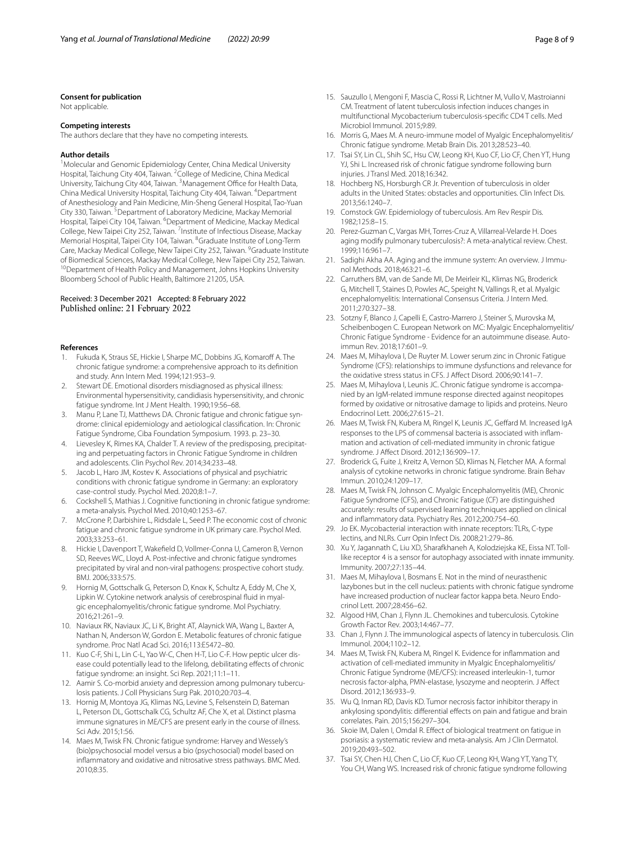#### **Consent for publication**

Not applicable.

#### **Competing interests**

The authors declare that they have no competing interests.

#### **Author details**

<sup>1</sup> Molecular and Genomic Epidemiology Center, China Medical University Hospital, Taichung City 404, Taiwan. <sup>2</sup>College of Medicine, China Medical University, Taichung City 404, Taiwan. <sup>3</sup> Management Office for Health Data, China Medical University Hospital, Taichung City 404, Taiwan. <sup>4</sup>Department of Anesthesiology and Pain Medicine, Min-Sheng General Hospital, Tao‑Yuan City 330, Taiwan. <sup>5</sup> Department of Laboratory Medicine, Mackay Memorial Hospital, Taipei City 104, Taiwan. <sup>6</sup>Department of Medicine, Mackay Medical College, New Taipei City 252, Taiwan. <sup>7</sup> Institute of Infectious Disease, Mackay Memorial Hospital, Taipei City 104, Taiwan. <sup>8</sup>Graduate Institute of Long-Term Care, Mackay Medical College, New Taipei City 252, Taiwan. <sup>9</sup>Graduate Institute of Biomedical Sciences, Mackay Medical College, New Taipei City 252, Taiwan.<br><sup>10</sup>Department of Health Policy and Management, Johns Hopkins University Bloomberg School of Public Health, Baltimore 21205, USA.

### Received: 3 December 2021 Accepted: 8 February 2022 Published online: 21 February 2022

#### **References**

- <span id="page-7-0"></span>Fukuda K, Straus SE, Hickie I, Sharpe MC, Dobbins JG, Komaroff A. The chronic fatigue syndrome: a comprehensive approach to its defnition and study. Ann Intern Med. 1994;121:953–9.
- <span id="page-7-1"></span>2. Stewart DE. Emotional disorders misdiagnosed as physical illness: Environmental hypersensitivity, candidiasis hypersensitivity, and chronic fatigue syndrome. Int J Ment Health. 1990;19:56–68.
- <span id="page-7-2"></span>3. Manu P, Lane TJ, Matthews DA. Chronic fatigue and chronic fatigue syndrome: clinical epidemiology and aetiological classifcation. In: Chronic Fatigue Syndrome, Ciba Foundation Symposium. 1993. p. 23–30.
- <span id="page-7-3"></span>4. Lievesley K, Rimes KA, Chalder T. A review of the predisposing, precipitating and perpetuating factors in Chronic Fatigue Syndrome in children and adolescents. Clin Psychol Rev. 2014;34:233–48.
- <span id="page-7-4"></span>5. Jacob L, Haro JM, Kostev K. Associations of physical and psychiatric conditions with chronic fatigue syndrome in Germany: an exploratory case-control study. Psychol Med. 2020;8:1–7.
- <span id="page-7-5"></span>6. Cockshell S, Mathias J. Cognitive functioning in chronic fatigue syndrome: a meta-analysis. Psychol Med. 2010;40:1253–67.
- <span id="page-7-6"></span>7. McCrone P, Darbishire L, Ridsdale L, Seed P. The economic cost of chronic fatigue and chronic fatigue syndrome in UK primary care. Psychol Med. 2003;33:253–61.
- <span id="page-7-7"></span>8. Hickie I, Davenport T, Wakefeld D, Vollmer-Conna U, Cameron B, Vernon SD, Reeves WC, Lloyd A. Post-infective and chronic fatigue syndromes precipitated by viral and non-viral pathogens: prospective cohort study. BMJ. 2006;333:575.
- <span id="page-7-8"></span>9. Hornig M, Gottschalk G, Peterson D, Knox K, Schultz A, Eddy M, Che X, Lipkin W. Cytokine network analysis of cerebrospinal fluid in myalgic encephalomyelitis/chronic fatigue syndrome. Mol Psychiatry. 2016;21:261–9.
- <span id="page-7-9"></span>10. Naviaux RK, Naviaux JC, Li K, Bright AT, Alaynick WA, Wang L, Baxter A, Nathan N, Anderson W, Gordon E. Metabolic features of chronic fatigue syndrome. Proc Natl Acad Sci. 2016;113:E5472–80.
- <span id="page-7-10"></span>11. Kuo C-F, Shi L, Lin C-L, Yao W-C, Chen H-T, Lio C-F. How peptic ulcer disease could potentially lead to the lifelong, debilitating efects of chronic fatigue syndrome: an insight. Sci Rep. 2021;11:1–11.
- <span id="page-7-11"></span>12. Aamir S. Co-morbid anxiety and depression among pulmonary tuberculosis patients. J Coll Physicians Surg Pak. 2010;20:703–4.
- <span id="page-7-12"></span>13. Hornig M, Montoya JG, Klimas NG, Levine S, Felsenstein D, Bateman L, Peterson DL, Gottschalk CG, Schultz AF, Che X, et al. Distinct plasma immune signatures in ME/CFS are present early in the course of illness. Sci Adv. 2015;1:56.
- <span id="page-7-13"></span>14. Maes M, Twisk FN. Chronic fatigue syndrome: Harvey and Wessely's (bio)psychosocial model versus a bio (psychosocial) model based on infammatory and oxidative and nitrosative stress pathways. BMC Med. 2010;8:35.
- <span id="page-7-14"></span>15. Sauzullo I, Mengoni F, Mascia C, Rossi R, Lichtner M, Vullo V, Mastroianni CM. Treatment of latent tuberculosis infection induces changes in multifunctional Mycobacterium tuberculosis-specifc CD4 T cells. Med Microbiol Immunol. 2015;9:89.
- <span id="page-7-15"></span>16. Morris G, Maes M. A neuro-immune model of Myalgic Encephalomyelitis/ Chronic fatigue syndrome. Metab Brain Dis. 2013;28:523–40.
- <span id="page-7-16"></span>17. Tsai SY, Lin CL, Shih SC, Hsu CW, Leong KH, Kuo CF, Lio CF, Chen YT, Hung YJ, Shi L. Increased risk of chronic fatigue syndrome following burn injuries. J Transl Med. 2018;16:342.
- <span id="page-7-17"></span>18. Hochberg NS, Horsburgh CR Jr. Prevention of tuberculosis in older adults in the United States: obstacles and opportunities. Clin Infect Dis. 2013;56:1240–7.
- <span id="page-7-18"></span>19. Comstock GW. Epidemiology of tuberculosis. Am Rev Respir Dis. 1982;125:8–15.
- <span id="page-7-19"></span>20. Perez-Guzman C, Vargas MH, Torres-Cruz A, Villarreal-Velarde H. Does aging modify pulmonary tuberculosis?: A meta-analytical review. Chest. 1999;116:961–7.
- <span id="page-7-20"></span>21. Sadighi Akha AA. Aging and the immune system: An overview. J Immunol Methods. 2018;463:21–6.
- <span id="page-7-21"></span>22. Carruthers BM, van de Sande MI, De Meirleir KL, Klimas NG, Broderick G, Mitchell T, Staines D, Powles AC, Speight N, Vallings R, et al. Myalgic encephalomyelitis: International Consensus Criteria. J Intern Med. 2011;270:327–38.
- <span id="page-7-22"></span>23. Sotzny F, Blanco J, Capelli E, Castro-Marrero J, Steiner S, Murovska M, Scheibenbogen C. European Network on MC: Myalgic Encephalomyelitis/ Chronic Fatigue Syndrome - Evidence for an autoimmune disease. Autoimmun Rev. 2018;17:601–9.
- <span id="page-7-23"></span>24. Maes M, Mihaylova I, De Ruyter M. Lower serum zinc in Chronic Fatigue Syndrome (CFS): relationships to immune dysfunctions and relevance for the oxidative stress status in CFS. J Affect Disord. 2006;90:141-7.
- <span id="page-7-24"></span>25. Maes M, Mihaylova I, Leunis JC. Chronic fatigue syndrome is accompanied by an IgM-related immune response directed against neopitopes formed by oxidative or nitrosative damage to lipids and proteins. Neuro Endocrinol Lett. 2006;27:615–21.
- <span id="page-7-25"></span>26. Maes M, Twisk FN, Kubera M, Ringel K, Leunis JC, Geffard M. Increased IgA responses to the LPS of commensal bacteria is associated with inflammation and activation of cell-mediated immunity in chronic fatigue syndrome. J Afect Disord. 2012;136:909–17.
- <span id="page-7-26"></span>27. Broderick G, Fuite J, Kreitz A, Vernon SD, Klimas N, Fletcher MA. A formal analysis of cytokine networks in chronic fatigue syndrome. Brain Behav Immun. 2010;24:1209–17.
- <span id="page-7-27"></span>28. Maes M, Twisk FN, Johnson C. Myalgic Encephalomyelitis (ME), Chronic Fatigue Syndrome (CFS), and Chronic Fatigue (CF) are distinguished accurately: results of supervised learning techniques applied on clinical and infammatory data. Psychiatry Res. 2012;200:754–60.
- <span id="page-7-28"></span>29. Jo EK. Mycobacterial interaction with innate receptors: TLRs, C-type lectins, and NLRs. Curr Opin Infect Dis. 2008;21:279–86.
- <span id="page-7-29"></span>30. Xu Y, Jagannath C, Liu XD, Sharafkhaneh A, Kolodziejska KE, Eissa NT. Tolllike receptor 4 is a sensor for autophagy associated with innate immunity. Immunity. 2007;27:135–44.
- <span id="page-7-30"></span>31. Maes M, Mihaylova I, Bosmans E. Not in the mind of neurasthenic lazybones but in the cell nucleus: patients with chronic fatigue syndrome have increased production of nuclear factor kappa beta. Neuro Endocrinol Lett. 2007;28:456–62.
- <span id="page-7-31"></span>32. Algood HM, Chan J, Flynn JL. Chemokines and tuberculosis. Cytokine Growth Factor Rev. 2003;14:467–77.
- <span id="page-7-32"></span>33. Chan J, Flynn J. The immunological aspects of latency in tuberculosis. Clin Immunol. 2004;110:2–12.
- <span id="page-7-33"></span>34. Maes M, Twisk FN, Kubera M, Ringel K. Evidence for infammation and activation of cell-mediated immunity in Myalgic Encephalomyelitis/ Chronic Fatigue Syndrome (ME/CFS): increased interleukin-1, tumor necrosis factor-alpha, PMN-elastase, lysozyme and neopterin. J Afect Disord. 2012;136:933–9.
- <span id="page-7-34"></span>35. Wu Q, Inman RD, Davis KD. Tumor necrosis factor inhibitor therapy in ankylosing spondylitis: differential effects on pain and fatigue and brain correlates. Pain. 2015;156:297–304.
- <span id="page-7-35"></span>36. Skoie IM, Dalen I, Omdal R. Efect of biological treatment on fatigue in psoriasis: a systematic review and meta-analysis. Am J Clin Dermatol. 2019;20:493–502.
- <span id="page-7-36"></span>37. Tsai SY, Chen HJ, Chen C, Lio CF, Kuo CF, Leong KH, Wang YT, Yang TY, You CH, Wang WS. Increased risk of chronic fatigue syndrome following